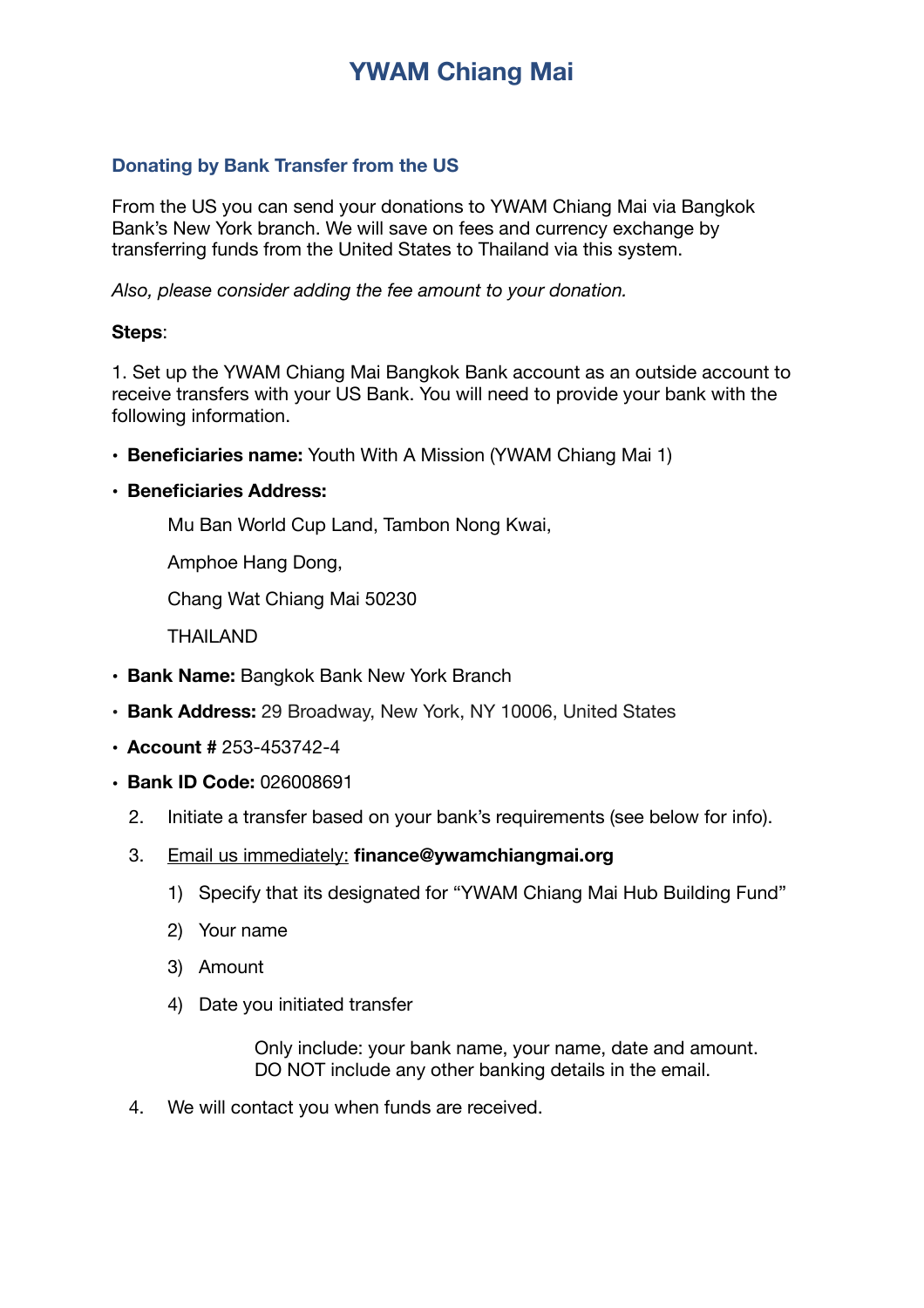# **YWAM Chiang Mai**

### **Donating by Bank Transfer from the US**

From the US you can send your donations to YWAM Chiang Mai via Bangkok Bank's New York branch. We will save on fees and currency exchange by transferring funds from the United States to Thailand via this system.

*Also, please consider adding the fee amount to your donation.*

### **Steps**:

1. Set up the YWAM Chiang Mai Bangkok Bank account as an outside account to receive transfers with your US Bank. You will need to provide your bank with the following information.

• **Beneficiaries name:** Youth With A Mission (YWAM Chiang Mai 1)

#### • **Beneficiaries Address:**

 Mu Ban World Cup Land, Tambon Nong Kwai,

 Amphoe Hang Dong,

 Chang Wat Chiang Mai 50230

 THAILAND

- **Bank Name:** Bangkok Bank New York Branch
- **Bank Address:** 29 Broadway, New York, NY 10006, United States
- **Account #** 253-453742-4
- **Bank ID Code:** 026008691
	- 2. Initiate a transfer based on your bank's requirements (see below for info).
	- 3. Email us immediately: **finance@ywamchiangmai.org** 
		- 1) Specify that its designated for "YWAM Chiang Mai Hub Building Fund"
		- 2) Your name
		- 3) Amount
		- 4) Date you initiated transfer

Only include: your bank name, your name, date and amount. DO NOT include any other banking details in the email.

4. We will contact you when funds are received.